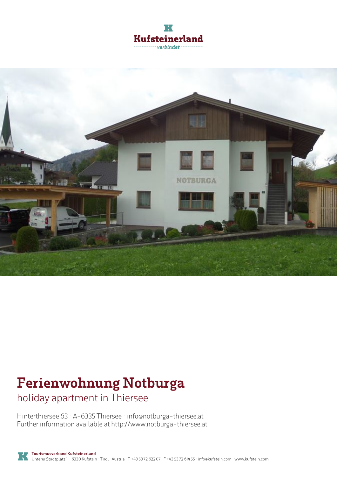



# **Ferienwohnung Notburga**

holiday apartment in Thiersee

Hinterthiersee 63 · A-6335 Thiersee · **info@notburga-thiersee.at** Further information available at **http://www.notburga-thiersee.at**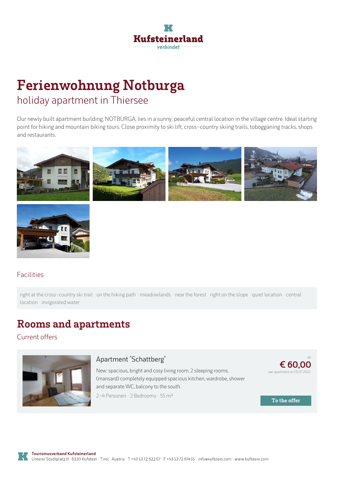

## **Ferienwohnung Notburga** holiday apartment in Thiersee

Our newly built apartment building, NOTBURGA, lies in <sup>a</sup> sunny, peaceful central location in the village centre. Ideal starting point for hiking and mountain biking tours. Close proximity to ski lift, cross-country skiing trails, tobogganing tracks, shops and restaurants.





#### Facilities

right at the cross-country ski trail · on the hiking path · meadowlands · near the forest · right on the slope · quiet location · central location · invigorated water

## **Rooms and apartments**

Current offers



#### **Apartment ["Schattberg"](https://www.kufstein.com/en/book/thiersee/holiday-apartment/ferienwohnung-notburga.html?utm_medium=PDF&utm_campaign=Vermieter-Prospekt&utm_source=Ferienwohnung+Notburga)**

New: spacious, bright and cosy living room, 2sleeping rooms, (mansard) completely equipped spacious kitchen, wardrobe, shower and separate WC, balcony to the south. 2-4 Personen · 2 Bedrooms · 55 <sup>m</sup><sup>²</sup>



**To the offer**